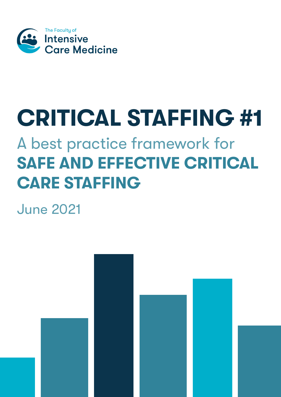

# **CRITICAL STAFFING #1**

# A best practice framework for **SAFE AND EFFECTIVE CRITICAL CARE STAFFING**

June 2021

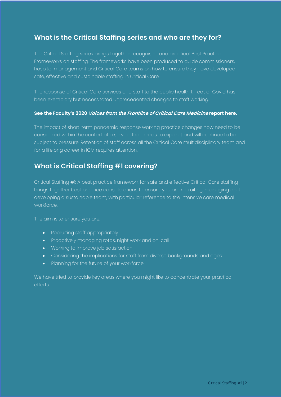# **What is the Critical Staffing series and who are they for?**

The Critical Staffing series brings together recognised and practical Best Practice Frameworks on staffing. The frameworks have been produced to guide commissioners, hospital management and Critical Care teams on how to ensure they have developed safe, effective and sustainable staffing in Critical Care.

The response of Critical Care services and staff to the public health threat of Covid has been exemplary but necessitated unprecedented changes to staff working.

#### **See the Faculty's 2020 Voices from the Frontline of Critical Care [Medicine](https://www.ficm.ac.uk/sites/default/files/voices_from_the_frontline_of_critical_care_medicine.pdf) report here.**

The impact of short-term pandemic response working practice changes now need to be considered within the context of a service that needs to expand, and will continue to be subject to pressure. Retention of staff across all the Critical Care multidisciplinary team and for a lifelong career in ICM requires attention.

# **What is Critical Staffing #1 covering?**

Critical Staffing #1: A best practice framework for safe and effective Critical Care staffing brings together best practice considerations to ensure you are recruiting, managing and developing a sustainable team, with particular reference to the intensive care medical workforce.

The aim is to ensure you are:

- Recruiting staff appropriately
- Proactively managing rotas, night work and on-call
- Working to improve job satisfaction
- Considering the implications for staff from diverse backgrounds and ages
- Planning for the future of your workforce

We have tried to provide key areas where you might like to concentrate your practical efforts.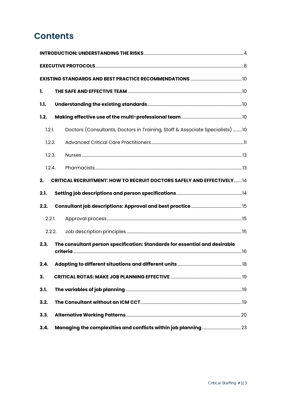# **Contents**

| 1.     |                                                                               |  |  |  |
|--------|-------------------------------------------------------------------------------|--|--|--|
| 1.1.   |                                                                               |  |  |  |
| 1.2.   |                                                                               |  |  |  |
| 1.2.1. | Doctors (Consultants, Doctors in Training, Staff & Associate Specialists) 10  |  |  |  |
| 1.2.2. |                                                                               |  |  |  |
| 1.2.3. |                                                                               |  |  |  |
| 1.2.4. |                                                                               |  |  |  |
| 2.     | <b>CRITICAL RECRUITMENT: HOW TO RECRUIT DOCTORS SAFELY AND EFFECTIVELY 14</b> |  |  |  |
| 2.1.   |                                                                               |  |  |  |
| 2.2.   |                                                                               |  |  |  |
| 2.2.1. |                                                                               |  |  |  |
| 2.2.2. |                                                                               |  |  |  |
| 2.3.   | The consultant person specification: Standards for essential and desirable    |  |  |  |
| 2.4.   |                                                                               |  |  |  |
| 3.     |                                                                               |  |  |  |
| 3.1.   |                                                                               |  |  |  |
| 3.2.   |                                                                               |  |  |  |
| 3.3.   |                                                                               |  |  |  |
| 3.4.   |                                                                               |  |  |  |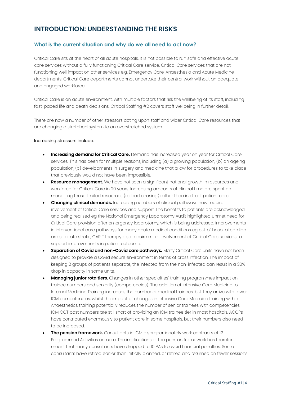# <span id="page-3-0"></span>**INTRODUCTION: UNDERSTANDING THE RISKS**

#### **What is the current situation and why do we all need to act now?**

Critical Care sits at the heart of all acute hospitals. It is not possible to run safe and effective acute care services without a fully functioning Critical Care service. Critical Care services that are not functioning well impact on other services e.g. Emergency Care, Anaesthesia and Acute Medicine departments. Critical Care departments cannot undertake their central work without an adequate and engaged workforce.

Critical Care is an acute environment, with multiple factors that risk the wellbeing of its staff, including fast-paced life and death decisions. Critical Staffing #2 covers staff wellbeing in further detail.

There are now a number of other stressors acting upon staff and wider Critical Care resources that are changing a stretched system to an overstretched system.

#### Increasing stressors include:

- **Increasing demand for Critical Care.** Demand has increased year on year for Critical Care services. This has been for multiple reasons, including (a) a growing population, (b) an ageing population, (c) developments in surgery and medicine that allow for procedures to take place that previously would not have been impossible.
- **Resource management.** We have not seen a significant national growth in resources and workforce for Critical Care in 20 years. Increasing amounts of clinical time are spent on managing these limited resources (i.e. bed chasing) rather than in direct patient care.
- **Changing clinical demands.** Increasing numbers of clinical pathways now require involvement of Critical Care services and support. The benefits to patients are acknowledged and being realised eg the National Emergency Laparotomy Audit highlighted unmet need for Critical Care provision after emergency laparotomy, which is being addressed. Improvements in interventional care pathways for many acute medical conditions eg out of hospital cardiac arrest, acute stroke, CAR T therapy also require more involvement of Critical Care services to support improvements in patient outcome.
- **Separation of Covid and non-Covid care pathways.** Many Critical Care units have not been designed to provide a Covid secure environment in terms of cross infection. The impact of keeping 2 groups of patients separate, the infected from the non-infected can result in a 30% drop in capacity in some units.
- **Managing junior rota tiers.** Changes in other specialties' training programmes impact on trainee numbers and seniority (competencies). The addition of Intensive Care Medicine to Internal Medicine Training increases the number of medical trainees, but they arrive with fewer ICM competencies, whilst the impact of changes in Intensive Care Medicine training within Anaesthetics training potentially reduces the number of senior trainees with competencies. ICM CCT post numbers are still short of providing an ICM trainee tier in most hospitals. ACCPs have contributed enormously to patient care in some hospitals, but their numbers also need to be increased.
- **The pension framework.** Consultants in ICM disproportionately work contracts of 12 Programmed Activities or more. The implications of the pension framework has therefore meant that many consultants have dropped to 10 PAs to avoid financial penalties. Some consultants have retired earlier than initially planned, or retired and returned on fewer sessions.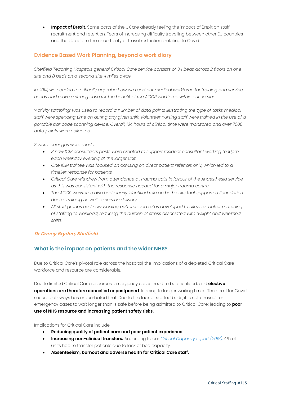• **Impact of Brexit.** Some parts of the UK are already feeling the impact of Brexit on staff recruitment and retention. Fears of increasing difficulty travelling between other EU countries and the UK add to the uncertainty of travel restrictions relating to Covid.

#### **Evidence Based Work Planning, beyond a work diary**

*Sheffield Teaching Hospitals general Critical Care service consists of 34 beds across 2 floors on one site and 8 beds on a second site 4 miles away.* 

*In 2014, we needed to critically appraise how we used our medical workforce for training and service needs and make a strong case for the benefit of the ACCP workforce within our service.* 

*'Activity sampling' was used to record a number of data points illustrating the type of tasks medical* staff were spending time on during any given shift. Volunteer nursing staff were trained in the use of a *portable bar code scanning device. Overall, 134 hours of clinical time were monitored and over 7000 data points were collected.*

*Several changes were made:*

- *3 new ICM consultants posts were created to support resident consultant working to 10pm each weekday evening at the larger unit.*
- *One ICM trainee was focused on advising on direct patient referrals only, which led to a timelier response for patients.*
- *Critical Care withdrew from attendance at trauma calls in favour of the Anaesthesia service, as this was consistent with the response needed for a major trauma centre.*
- *The ACCP workforce also had clearly identified roles in both units that supported Foundation doctor training as well as service delivery.*
- *All staff groups had new working patterns and rotas developed to allow for better matching of staffing to workload, reducing the burden of stress associated with twilight and weekend shifts.*

#### **Dr Danny Bryden, Sheffield**

#### **What is the impact on patients and the wider NHS?**

Due to Critical Care's pivotal role across the hospital, the implications of a depleted Critical Care workforce and resource are considerable.

Due to limited Critical Care resources, emergency cases need to be prioritised, and **elective operations are therefore cancelled or postponed**, leading to longer waiting times. The need for Covid secure pathways has exacerbated that. Due to the lack of staffed beds, it is not unusual for emergency cases to wait longer than is safe before being admitted to Critical Care; leading to **poor use of NHS resource and increasing patient safety risks.**

Implications for Critical Care include:

- **Reducing quality of patient care and poor patient experience.**
- **Increasing non-clinical transfers.** According to our *Critical [Capacity](https://www.ficm.ac.uk/news-events-education/news/report-and-national-coverage-critical-care-bed-capacity) report (2018),* 4/5 of units had to transfer patients due to lack of bed capacity.
- **Absenteeism, burnout and adverse health for Critical Care staff.**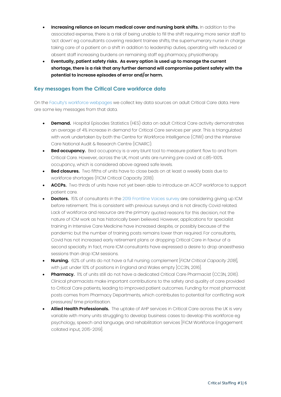- **Increasing reliance on locum medical cover and nursing bank shifts.** In addition to the associated expense, there is a risk of being unable to fill the shift requiring more senior staff to 'act down' eg consultants covering resident trainee shifts, the supernumerary nurse in charge taking care of a patient on a shift in addition to leadership duties, operating with reduced or absent staff increasing burdens on remaining staff eg pharmacy, physiotherapy.
- **Eventually, patient safety risks. As every option is used up to manage the current shortage, there is a risk that any further demand will compromise patient safety with the potential to increase episodes of error and/or harm.**

#### **Key messages from the Critical Care workforce data**

On the Faculty's workforce [webpages](https://www.ficm.ac.uk/careers-recruitment-workforce/workforce) we collect key data sources on adult Critical Care data. Here are some key messages from that data.

- **Demand.** Hospital Episodes Statistics (HES) data on adult Critical Care activity demonstrates an average of 4% increase in demand for Critical Care services per year. This is triangulated with work undertaken by both the Centre for Workforce Intelligence (CfWI) and the Intensive Care National Audit & Research Centre (ICNARC).
- **Bed occupancy.** Bed occupancy is a very blunt tool to measure patient flow to and from Critical Care. However, across the UK, most units are running pre covid at c.85-100% occupancy, which is considered above agreed safe levels.
- **Bed closures.** Two fifths of units have to close beds on at least a weekly basis due to workforce shortages (FICM Critical Capacity 2018).
- **ACCPs.** Two thirds of units have not yet been able to introduce an ACCP workforce to support patient care.
- **Doctors.** 15% of consultants in the 2019 [Frontline](https://www.ficm.ac.uk/sites/default/files/voices_from_the_frontline_of_critical_care_medicine.pdf) Voices survey are considering giving up ICM before retirement. This is consistent with previous surveys and is not directly Covid related. Lack of workforce and resource are the primary quoted reasons for this decision, not the nature of ICM work as has historically been believed. However, applications for specialist training in Intensive Care Medicine have increased despite, or possibly because of the pandemic but the number of training posts remains lower than required. For consultants, Covid has not increased early retirement plans or dropping Critical Care in favour of a second specialty. In fact, more ICM consultants have expressed a desire to drop anaesthesia sessions than drop ICM sessions.
- **Nursing.** 62% of units do not have a full nursing complement [*FICM Critical Capacity 2018*], with just under 10% of positions in England and Wales empty [CC3N, 2016].
- **Pharmacy.** 11% of units still do not have a dedicated Critical Care Pharmacist (CC3N, 2016). Clinical pharmacists make important contributions to the safety and quality of care provided to Critical Care patients, leading to improved patient outcomes. Funding for most pharmacist posts comes from Pharmacy Departments, which contributes to potential for conflicting work pressures/ time prioritisation.
- **Allied Health Professionals.** The uptake of AHP services in Critical Care across the UK is very variable with many units struggling to develop business cases to develop this workforce eg psychology, speech and language, and rehabilitation services [FICM Workforce Engagement collated input, 2015-2019].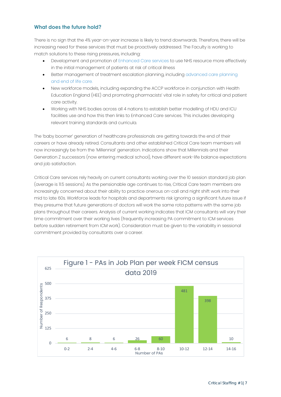#### **What does the future hold?**

There is no sign that the 4% year-on-year increase is likely to trend downwards. Therefore, there will be increasing need for these services that must be proactively addressed. The Faculty is working to match solutions to these rising pressures, including:

- Development and promotion of [Enhanced](https://www.ficm.ac.uk/critical-futures-initiative/enhanced-care) Care services to use NHS resource more effectively in the initial management of patients at risk of critical illness
- Better [management](https://www.ficm.ac.uk/critical-futures-initiative/care-end-life) of treatment escalation planning, including [advanced](https://www.ficm.ac.uk/critical-futures-initiative/care-end-life) care planning and end of life care.
- New workforce models, including expanding the ACCP workforce in conjunction with Health Education England (HEE) and promoting pharmacists' vital role in safety for critical and patient care activity.
- Working with NHS bodies across all 4 nations to establish better modelling of HDU and ICU facilities use and how this then links to Enhanced Care services. This includes developing relevant training standards and curricula.

The 'baby boomer' generation of healthcare professionals are getting towards the end of their careers or have already retired. Consultants and other established Critical Care team members will now increasingly be from the 'Millennial' generation. Indications show that Millennials and their Generation Z successors (now entering medical school), have different work-life balance expectations and job satisfaction.

Critical Care services rely heavily on current consultants working over the 10 session standard job plan (average is 11.5 sessions). As the pensionable age continues to rise, Critical Care team members are increasingly concerned about their ability to practice onerous on-call and night shift work into their mid to late 60s. Workforce leads for hospitals and departments risk ignoring a significant future issue if they presume that future generations of doctors will work the same rota patterns with the same job plans throughout their careers. Analysis of current working indicates that ICM consultants will vary their time commitment over their working lives (frequently increasing PA commitment to ICM services before sudden retirement from ICM work). Consideration must be given to the variability in sessional commitment provided by consultants over a career.

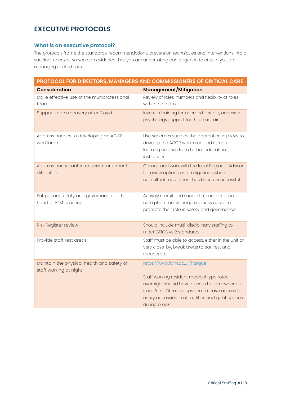# <span id="page-7-0"></span>**EXECUTIVE PROTOCOLS**

#### **What is an executive protocol?**

The protocols frame the standards, recommendations, prevention techniques and interventions into a succinct checklist so you can evidence that you are undertaking due diligence to ensure you are managing related risks.

| PROTOCOL FOR DIRECTORS, MANAGERS AND COMMISSIONERS OF CRITICAL CARE  |                                                                                                                                                                                                                                                      |  |  |
|----------------------------------------------------------------------|------------------------------------------------------------------------------------------------------------------------------------------------------------------------------------------------------------------------------------------------------|--|--|
| <b>Consideration</b>                                                 | Management/Mitigation                                                                                                                                                                                                                                |  |  |
| Make effective use of the multiprofessional<br>team                  | Review of roles, numbers and flexibility of roles<br>within the team                                                                                                                                                                                 |  |  |
| Support team recovery after Covid                                    | Invest in training for peer-led first aid, access to<br>psychology support for those needing it                                                                                                                                                      |  |  |
| Address hurdles to developing an ACCP<br>workforce                   | Use schemes such as the apprenticeship levy to<br>develop the ACCP workforce and remote<br>learning courses from higher education<br>institutions                                                                                                    |  |  |
| Address consultant intensivist recruitment<br>difficulties           | Consult and work with the local Regional Advisor<br>to review options and mitigations when<br>consultant recruitment has been unsuccessful                                                                                                           |  |  |
| Put patient safety and governance at the<br>heart of ICM practice    | Actively recruit and support training of critical<br>care pharmacists using business cases to<br>promote their role in safety and governance                                                                                                         |  |  |
| Risk Register review                                                 | Should include multi-disciplinary staffing to<br>meet GPICS vs 2 standards                                                                                                                                                                           |  |  |
| Provide staff rest areas                                             | Staff must be able to access, either in the unit or<br>very close-by, break areas to eat, rest and<br>recuperate                                                                                                                                     |  |  |
| Maintain the physical health and safety of<br>staff working at night | https://www.ficm.ac.uk/Fatigue<br>Staff working resident medical type rotas<br>overnight should have access to somewhere to<br>sleep/rest. Other groups should have access to<br>easily accessible rest facilities and quiet spaces<br>during breaks |  |  |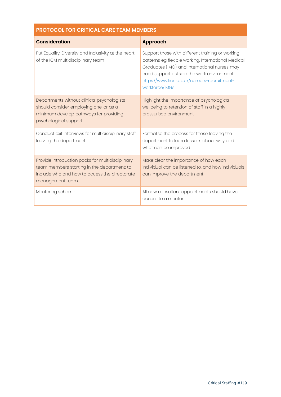| <b>PROTOCOL FOR CRITICAL CARE TEAM MEMBERS</b>                                                                                                                      |                                                                                                                                                                                                                                                                        |  |  |  |
|---------------------------------------------------------------------------------------------------------------------------------------------------------------------|------------------------------------------------------------------------------------------------------------------------------------------------------------------------------------------------------------------------------------------------------------------------|--|--|--|
| <b>Consideration</b>                                                                                                                                                | <b>Approach</b>                                                                                                                                                                                                                                                        |  |  |  |
| Put Equality, Diversity and Inclusivity at the heart<br>of the ICM multidisciplinary team                                                                           | Support those with different training or working<br>patterns eg flexible working. International Medical<br>Graduates (IMG) and international nurses may<br>need support outside the work environment.<br>https://www.ficm.ac.uk/careers-recruitment-<br>workforce/IMGs |  |  |  |
| Departments without clinical psychologists<br>should consider employing one, or as a<br>minimum develop pathways for providing<br>psychological support             | Highlight the importance of psychological<br>wellbeing to retention of staff in a highly<br>pressurised environment                                                                                                                                                    |  |  |  |
| Conduct exit interviews for multidisciplinary staff<br>leaving the department                                                                                       | Formalise the process for those leaving the<br>department to learn lessons about why and<br>what can be improved                                                                                                                                                       |  |  |  |
| Provide introduction packs for multidisciplinary<br>team members starting in the department; to<br>include who and how to access the directorate<br>management team | Make clear the importance of how each<br>individual can be listened to, and how individuals<br>can improve the department                                                                                                                                              |  |  |  |
| Mentoring scheme                                                                                                                                                    | All new consultant appointments should have<br>access to a mentor                                                                                                                                                                                                      |  |  |  |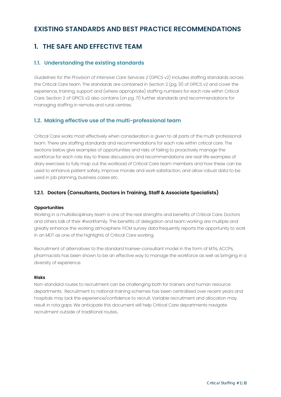## <span id="page-9-0"></span>**EXISTING STANDARDS AND BEST PRACTICE RECOMMENDATIONS**

# **1. THE SAFE AND EFFECTIVE TEAM**

#### **1.1. Understanding the existing standards**

*Guidelines for the Provision of Intensive Care Services 2* (GPICS v2) includes staffing standards across the Critical Care team. The standards are contained in Section 2 (pg. 31) of GPICS v2 and cover the experience, training, support and (where appropriate) staffing numbers for each role within Critical Care. Section 2 of GPICS v2 also contains (on pg. 71) further standards and recommendations for managing staffing in remote and rural centres.

#### **1.2. Making effective use of the multi-professional team**

Critical Care works most effectively when consideration is given to all parts of the multi-professional team. There are staffing standards and recommendations for each role within critical care. The sections below give examples of opportunities and risks of failing to proactively manage the workforce for each role. Key to these discussions and recommendations are real-life examples of diary exercises to fully map out the workload of Critical Care team members and how these can be used to enhance patient safety, improve morale and work satisfaction, and allow robust data to be used in job planning, business cases etc.

#### **1.2.1. Doctors (Consultants, Doctors in Training, Staff & Associate Specialists)**

#### **Opportunities**

Working in a multidisciplinary team is one of the real strengths and benefits of Critical Care. Doctors and others talk of their #workfamily. The benefits of delegation and team working are multiple and greatly enhance the working atmosphere. FICM survey data frequently reports the opportunity to work in an MDT as one of the highlights of Critical Care working.

Recruitment of alternatives to the standard trainee-consultant model in the form of MTIs, ACCPs, pharmacists has been shown to be an effective way to manage the workforce as well as bringing in a diversity of experience.

#### **Risks**

Non-standard routes to recruitment can be challenging both for trainers and human resource departments. Recruitment to national training schemes has been centralised over recent years and hospitals may lack the experience/confidence to recruit. Variable recruitment and allocation may result in rota gaps. We anticipate this document will help Critical Care departments navigate recruitment outside of traditional routes.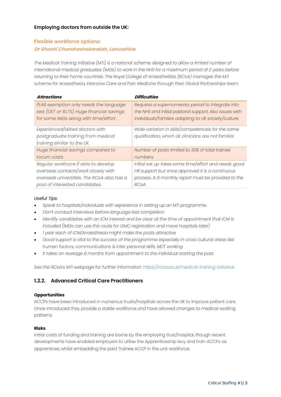#### <span id="page-10-0"></span>**Employing doctors from outside the UK:**

#### **Flexible workforce options: Dr Shashi Chandrashekaraiah, Lancashire**

*The Medical Training Initiative (MTI) is a national scheme designed to allow a limited number of International medical graduates (IMGs) to work in the NHS for a maximum period of 2 years before returning to their home countries. The Royal College of Anaesthetists (RCoA) manages the MTI scheme for Anaesthesia, Intensive Care and Pain Medicine through their Global Partnerships team.*

| <b>Attractions</b>                          | <b>Difficulties</b>                                    |
|---------------------------------------------|--------------------------------------------------------|
| PLAB exemption only needs the language      | Requires a supernumerary period to integrate into      |
| test (OET or IELTS). Huge financial savings | the NHS and initial pastoral support. Also issues with |
| for some IMGs along with time/effort.       | individuals/families adapting to UK society/culture.   |
| Experienced/skilled doctors with            | Wide variation in skills/competencies for the same     |
| postgraduate training from medical          | qualification, which UK clinicians are not familiar.   |
| training similar to the UK.                 |                                                        |
| Huge financial savings compared to          | Number of posts limited to 30% of total trainee        |
| locum costs.                                | numbers.                                               |
| Regular workforce if able to develop        | Initial set up takes some time/effort and needs good   |
| overseas contacts/work closely with         | HR support but once approved it is a continuous        |
| overseas universities. The RCoA also has a  | process. A 6 monthly report must be provided to the    |
| pool of interested candidates.              | RCoA.                                                  |

#### *Useful Tips:*

- *Speak to hospitals/individuals with experience in setting up an MTI programme.*
- *Don't conduct interviews before language test completion*
- *Identify candidates with an ICM interest and be clear at the time of appointment that ICM is included (IMGs can use this route for GMC registration and move hospitals later)*
- *1 year each of ICM/Anaesthesia might make the posts attractive*
- *Good support is vital to the success of the programme especially in cross cultural areas like human factors, communications & inter personal skills, MDT working*
- *It takes on average 6 months from appointment to the individual starting the post.*

*See the RCoA's MTI webpage for further information:<https://rcoa.ac.uk/medical-training-initiative>*

#### **1.2.2. Advanced Critical Care Practitioners**

#### **Opportunities**

ACCPs have been introduced in numerous trusts/hospitals across the UK to improve patient care. Once introduced they provide a stable workforce and have allowed changes to medical working patterns.

#### **Risks**

Initial costs of funding and training are borne by the employing trust/hospital, though recent developments have enabled employers to utilise the Apprenticeship levy and train ACCPs as apprentices, whilst embedding the paid Trainee ACCP in the unit workforce.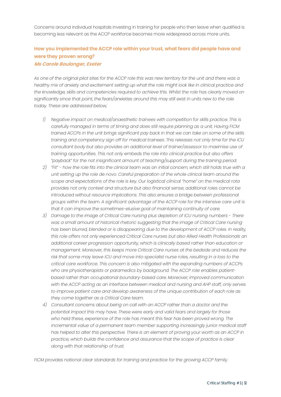Concerns around individual hospitals investing in training for people who then leave when qualified is becoming less relevant as the ACCP workforce becomes more widespread across more units.

#### **How you implemented the ACCP role within your trust, what fears did people have and were they proven wrong? Ms Carole Boulanger, Exeter**

As one of the original pilot sites for the ACCP role this was new territory for the unit and there was a healthy mix of anxiety and excitement setting up what the role might look like in clinical practice and *the knowledge, skills and competencies required to achieve this. Whilst the role has clearly moved on significantly since that point, the fears/anxieties around this may still exist in units new to the role today. These are addressed below;*

- *1) Negative impact on medical/anaesthetic trainees with competition for skills practice. This is carefully managed in terms of timing and does still require planning as a unit. Having FICM* trained ACCPs in the unit brings significant pay back in that we can take on some of the skills *training and competency sign off for medical trainees. This releases not only time for the ICU consultant body but also provides an additional level of trainer/assessor to maximise use of training opportunities. This not only embeds the role into clinical practice but also offers "payback" for the not insignificant amount of teaching/support during the training period.*
- 2) "Fit" how the role fits into the clinical team was an initial concern, which still holds true with a *unit setting up the role de novo. Careful preparation of the whole clinical team around the scope and expectations of the role is key. Our logistical clinical "home" on the medical rota provides not only context and structure but also financial sense; additional roles cannot be introduced without resource implications. This also ensures a bridge between professional groups within the team. A significant advantage of the ACCP role for the intensive care unit is that it can improve the sometimes-elusive goal of maintaining continuity of care.*
- *3) Damage to the image of Critical Care nursing plus depletion of ICU nursing numbers There was a small amount of historical rhetoric suggesting that the image of Critical Care nursing has been blurred, blended or is disappearing due to the development of ACCP roles. In reality, this role offers not only experienced Critical Care nurses but also Allied Health Professionals an additional career progression opportunity, which is clinically based rather than education or management. Moreover, this keeps more Critical Care nurses at the bedside and reduces the risk that some may leave ICU and move into specialist nurse roles, resulting in a loss to the critical care workforce. This concern is also mitigated with the expanding numbers of ACCPs who are physiotherapists or paramedics by background. The ACCP role enables patientbased rather than occupational boundary-based care. Moreover, improved communication with the ACCP acting as an interface between medical and nursing and AHP staff, only serves to improve patient care and develop awareness of the unique contribution of each role as they come together as a Critical Care team.*
- *4) Consultant concerns about being on call with an ACCP rather than a doctor and the potential impact this may have. These were early and valid fears and largely for those who held these, experience of the role has meant this fear has been proved wrong. The incremental value of a permanent team member supporting increasingly junior medical staff has helped to alter this perspective. There is an element of proving your worth as an ACCP in practice, which builds the confidence and assurance that the scope of practice is clear along with that relationship of trust.*

*FICM provides national clear standards for training and practice for the growing ACCP family.*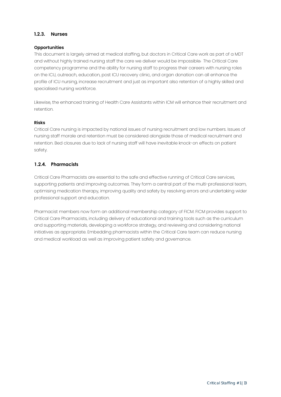#### <span id="page-12-0"></span>**1.2.3. Nurses**

#### **Opportunities**

This document is largely aimed at medical staffing, but doctors in Critical Care work as part of a MDT and without highly trained nursing staff the care we deliver would be impossible. The Critical Care competency programme and the ability for nursing staff to progress their careers with nursing roles on the ICU, outreach, education, post ICU recovery clinic, and organ donation can all enhance the profile of ICU nursing, increase recruitment and just as important also retention of a highly skilled and specialised nursing workforce.

Likewise, the enhanced training of Health Care Assistants within ICM will enhance their recruitment and retention.

#### **Risks**

Critical Care nursing is impacted by national issues of nursing recruitment and low numbers. Issues of nursing staff morale and retention must be considered alongside those of medical recruitment and retention. Bed closures due to lack of nursing staff will have inevitable knock-on effects on patient safety.

#### **1.2.4. Pharmacists**

Critical Care Pharmacists are essential to the safe and effective running of Critical Care services, supporting patients and improving outcomes. They form a central part of the multi-professional team, optimising medication therapy, improving quality and safety by resolving errors and undertaking wider professional support and education.

Pharmacist members now form an additional membership category of FICM. FICM provides support to Critical Care Pharmacists, including delivery of educational and training tools such as the curriculum and supporting materials, developing a workforce strategy, and reviewing and considering national initiatives as appropriate. Embedding pharmacists within the Critical Care team can reduce nursing and medical workload as well as improving patient safety and governance.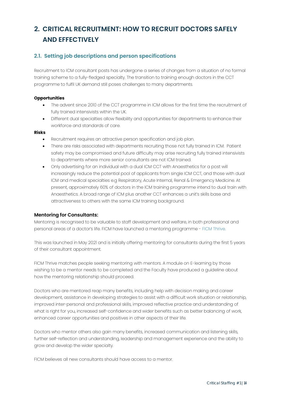# <span id="page-13-0"></span>**2. CRITICAL RECRUITMENT: HOW TO RECRUIT DOCTORS SAFELY AND EFFECTIVELY**

#### **2.1. Setting job descriptions and person specifications**

Recruitment to ICM consultant posts has undergone a series of changes from a situation of no formal training scheme to a fully-fledged specialty. The transition to training enough doctors in the CCT programme to fulfil UK demand still poses challenges to many departments.

#### **Opportunities**

- The advent since 2010 of the CCT programme in ICM allows for the first time the recruitment of fully trained intensivists within the UK.
- Different dual specialties allow flexibility and opportunities for departments to enhance their workforce and standards of care.

#### **Risks**

- Recruitment requires an attractive person specification and job plan.
- There are risks associated with departments recruiting those not fully trained in ICM. Patient safety may be compromised and future difficulty may arise recruiting fully trained intensivists to departments where more senior consultants are not ICM trained.
- Only advertising for an individual with a dual ICM CCT with Anaesthetics for a post will increasingly reduce the potential pool of applicants from single ICM CCT, and those with dual ICM and medical specialties e.g Respiratory, Acute Internal, Renal & Emergency Medicine. At present, approximately 60% of doctors in the ICM training programme intend to dual train with Anaesthetics. A broad range of ICM plus another CCT enhances a unit's skills base and attractiveness to others with the same ICM training background.

#### **Mentoring for Consultants:**

Mentoring is recognised to be valuable to staff development and welfare, in both professional and personal areas of a doctor's life. FICM have launched a mentoring programme - FICM [Thrive.](https://www.ficm.ac.uk/careers-recruitment-workforce/ficm-thrive) 

This was launched in May 2021 and is initially offering mentoring for consultants during the first 5 years of their consultant appointment.

FICM Thrive matches people seeking mentoring with mentors. A module on E-learning by those wishing to be a mentor needs to be completed and the Faculty have produced a guideline about how the mentoring relationship should proceed.

Doctors who are mentored reap many benefits, including help with decision making and career development, assistance in developing strategies to assist with a difficult work situation or relationship, improved inter-personal and professional skills, improved reflective practice and understanding of what is right for you, increased self-confidence and wider benefits such as better balancing of work, enhanced career opportunities and positives in other aspects of their life.

Doctors who mentor others also gain many benefits, increased communication and listening skills, further self-reflection and understanding, leadership and management experience and the ability to grow and develop the wider specialty.

FICM believes all new consultants should have access to a mentor.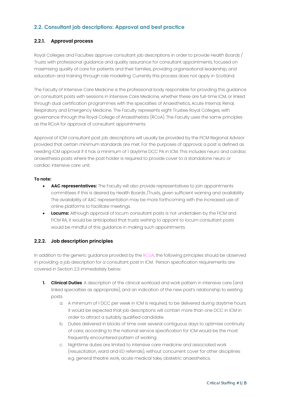#### <span id="page-14-0"></span>**2.2. Consultant job descriptions: Approval and best practice**

#### **2.2.1. Approval process**

Royal Colleges and Faculties approve consultant job descriptions in order to provide Health Boards / Trusts with professional guidance and quality assurance for consultant appointments, focused on maximising quality of care for patients and their families, providing organisational leadership, and education and training through role modelling. Currently this process does not apply in Scotland.

The Faculty of Intensive Care Medicine is the professional body responsible for providing this guidance on consultant posts with sessions in Intensive Care Medicine, whether these are full-time ICM, or linked through dual certification programmes with the specialties of Anaesthetics, Acute Internal, Renal, Respiratory and Emergency Medicine. The Faculty represents eight Trustee Royal Colleges, with governance through the Royal College of Anaesthetists (RCoA). The Faculty uses the same principles as the RCoA for approval of consultant appointments.

Approval of ICM consultant post job descriptions will usually be provided by the FICM Regional Advisor provided that certain minimum standards are met. For the purposes of approval, a post is defined as needing ICM approval if it has a minimum of 1 daytime DCC PA in ICM. This includes neuro and cardiac anaesthesia posts where the post holder is required to provide cover to a standalone neuro or cardiac intensive care unit.

#### **To note:**

- **AAC representatives:** The Faculty will also provide representatives to join appointments committees if this is desired by Health Boards /Trusts, given sufficient warning and availability. The availability of AAC representation may be more forthcoming with the increased use of online platforms to facilitate meetings.
- **Locums:** Although approval of locum consultant posts is not undertaken by the FICM and FICM RA, it would be anticipated that trusts wishing to appoint to locum consultant posts would be mindful of this guidance in making such appointments.

#### **2.2.2. Job description principles**

In addition to the generic guidance provided by the [RCoA, th](https://rcoa.ac.uk/sites/default/files/documents/2020-04/AACGuidance-JDs%202020.pdf)e following principles should be observed in providing a job description for a consultant post in ICM. Person specification requirements are covered in Section 2.3 immediately below.

- **1. Clinical Duties**: A description of the clinical workload and work pattern in intensive care (and linked specialties as appropriate), and an indication of the new post's relationship to existing posts.
	- a. A minimum of 1 DCC per week in ICM is required, to be delivered during daytime hours. It would be expected that job descriptions will contain more than one DCC in ICM in order to attract a suitably qualified candidate.
	- b. Duties delivered in blocks of time over several contiguous days to optimise continuity of care; according to the national service specification for ICM would be the most frequently encountered pattern of working.
	- c. Nighttime duties are limited to intensive care medicine and associated work (resuscitation, ward and ED referrals), without concurrent cover for other disciplines e.g. general theatre work, acute medical take, obstetric anaesthetics.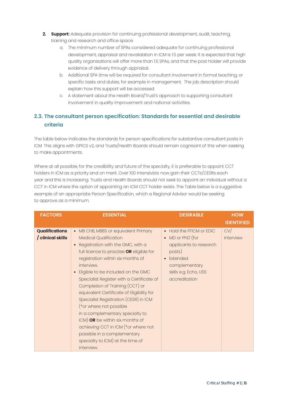- <span id="page-15-0"></span>**2. Support:** Adequate provision for continuing professional development, audit, teaching, training and research and office space.
	- a. The minimum number of SPAs considered adequate for continuing professional development, appraisal and revalidation in ICM is 1.5 per week. It is expected that high quality organisations will offer more than 1.5 SPAs, and that the post holder will provide evidence of delivery through appraisal.
	- b. Additional SPA time will be required for consultant involvement in formal teaching, or specific tasks and duties, for example in management. The job description should explain how this support will be accessed.
	- c. A statement about the Health Board/Trust's approach to supporting consultant involvement in quality improvement and national activities.

### **2.3. The consultant person specification: Standards for essential and desirable criteria**

The table below indicates the standards for person specifications for substantive consultant posts in ICM. This aligns with GPICS v2, and Trusts/Health Boards should remain cognisant of this when seeking to make appointments.

Where at all possible, for the credibility and future of the specialty, it is preferable to appoint CCT holders in ICM as a priority and on merit. Over 100 Intensivists now gain their CCTs/CESRs each year and this is increasing. Trusts and Health Boards should not seek to appoint an individual without a CCT in ICM where the option of appointing an ICM CCT holder exists. The Table below is a suggestive example of an appropriate Person Specification, which a Regional Advisor would be seeking to approve as a minimum.

| <b>FACTORS</b>                             | <b>ESSENTIAL</b>                                                                                                                                                                                                                                                                                                                                                                                                                                                                                                                                                                                                                                  | <b>DESIRABLE</b>                                                                                                                                                             | <b>HOW</b><br><b>IDENTIFIED</b> |
|--------------------------------------------|---------------------------------------------------------------------------------------------------------------------------------------------------------------------------------------------------------------------------------------------------------------------------------------------------------------------------------------------------------------------------------------------------------------------------------------------------------------------------------------------------------------------------------------------------------------------------------------------------------------------------------------------------|------------------------------------------------------------------------------------------------------------------------------------------------------------------------------|---------------------------------|
| <b>Qualifications</b><br>/ clinical skills | • MB ChB, MBBS or equivalent Primary<br><b>Medical Qualification</b><br>• Registration with the GMC, with a<br>full licence to practise OR eligible for<br>registration within six months of<br>interview.<br>• Eligible to be included on the GMC<br>Specialist Register with a Certificate of<br>Completion of Training (CCT) or<br>equivalent Certificate of Eligibility for<br>Specialist Registration (CESR) in ICM<br>(*or where not possible<br>in a complementary specialty to<br>ICM) OR be within six months of<br>achieving CCT in ICM (*or where not<br>possible in a complementary<br>specialty to ICM) at the time of<br>interview. | • Hold the FFICM or EDIC<br>$\bullet$ MD or PhD (for<br>applicants to research<br>posts)<br>Extended<br>$\bullet$<br>complementary<br>skills e.g. Echo, USS<br>accreditation | CV/<br>Interview                |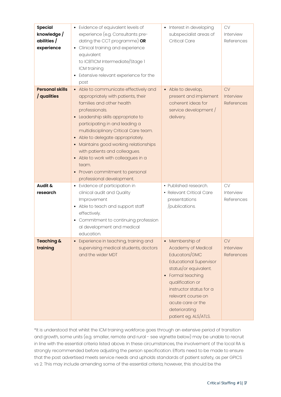| <b>Special</b><br>knowledge /<br>abilities /<br>experience | • Evidence of equivalent levels of<br>experience (e.g. Consultants pre-<br>dating the CCT programme) OR<br>Clinical training and experience<br>equivalent<br>to ICBTICM Intermediate/Stage 1<br>ICM training<br>• Extensive relevant experience for the<br>post                                                                                                                                                                                                                    | Interest in developing<br>٠<br>subspecialist areas of<br><b>Critical Care</b>                                                                                                                                                                                                        | <b>CV</b><br>Interview<br>References        |
|------------------------------------------------------------|------------------------------------------------------------------------------------------------------------------------------------------------------------------------------------------------------------------------------------------------------------------------------------------------------------------------------------------------------------------------------------------------------------------------------------------------------------------------------------|--------------------------------------------------------------------------------------------------------------------------------------------------------------------------------------------------------------------------------------------------------------------------------------|---------------------------------------------|
| <b>Personal skills</b><br>/ qualities                      | • Able to communicate effectively and<br>appropriately with patients, their<br>families and other health<br>professionals.<br>Leadership skills appropriate to<br>participating in and leading a<br>multidisciplinary Critical Care team.<br>Able to delegate appropriately.<br>$\bullet$<br>Maintains good working relationships<br>with patients and colleagues.<br>• Able to work with colleagues in a<br>team.<br>• Proven commitment to personal<br>professional development. | Able to develop,<br>$\bullet$<br>present and implement<br>coherent ideas for<br>service development /<br>delivery.                                                                                                                                                                   | CV<br><b>Interview</b><br>References        |
| Audit &<br>research                                        | • Evidence of participation in<br>clinical audit and Quality<br>Improvement<br>Able to teach and support staff<br>effectively.<br>• Commitment to continuing profession<br>al development and medical<br>education.                                                                                                                                                                                                                                                                | • Published research.<br>• Relevant Critical Care<br>presentations<br>/publications.                                                                                                                                                                                                 | <b>CV</b><br>Interview<br>References        |
| Teaching &<br>training                                     | Experience in teaching, training and<br>$\bullet$<br>supervising medical students, doctors<br>and the wider MDT                                                                                                                                                                                                                                                                                                                                                                    | • Membership of<br>Academy of Medical<br>Educators/GMC<br><b>Educational Supervisor</b><br>status/or equivalent.<br>Formal teaching<br>$\bullet$<br>qualification or<br>instructor status for a<br>relevant course on<br>acute care or the<br>deteriorating<br>patient eg. ALS/ATLS. | <b>CV</b><br>Interview<br><b>References</b> |

\*It is understood that whilst the ICM training workforce goes through an extensive period of transition and growth, some units (e.g. smaller, remote and rural - see vignette below) may be unable to recruit in line with the essential criteria listed above. In these circumstances, the involvement of the local RA is strongly recommended before adjusting the person specification. Efforts need to be made to ensure that the post advertised meets service needs and upholds standards of patient safety, as per GPICS vs 2. This may include amending some of the essential criteria; however, this should be the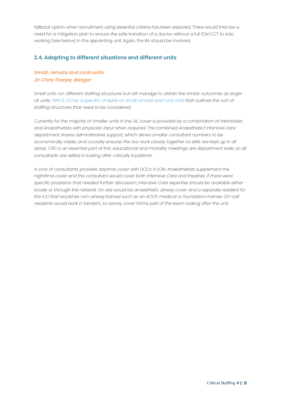<span id="page-17-0"></span>fallback option when recruitment using essential criteria has been explored. There would then be a need for a mitigation plan to ensure the safe transition of a doctor without a full ICM CCT to solo working (see below) in the appointing unit. Again, the RA should be involved.

#### **2.4. Adapting to different situations and different units**

#### **Small, remote and rural units Dr Chris Thorpe, Bangor**

*Small units run different staffing structures but still manage to obtain the similar outcomes as larger UK units.* GPICS v2 has a specific chapter on small remote and rural units *that outlines the sort of staffing structures that need to be considered.* 

*Currently for the majority of smaller units in the UK, cover is [provided](https://www.ficm.ac.uk/sites/default/files/gpics-v2.pdf#page=71) by a combination of Intensivists and Anaesthetists with physician input when required. The combined Anaesthetic/ Intensive care department shares administrative support, which allows smaller consultant numbers to be economically viable, and crucially ensures the two work closely together so skills are kept up in all areas. CPD is an essential part of this: educational and mortality meetings are department wide, so all consultants are skilled in looking after critically ill patients.* 

*A core of consultants provides daytime cover with DCCs in ICM. Anaesthetists supplement the nighttime cover and the consultant would cover both Intensive Care and theatres. If there were specific problems that needed further discussion, Intensive Care expertise should be available either locally or through the network. On site would be anaesthetic airway cover and a separate resident for the ICU that would be non-airway trained such as an ACCP, medical or foundation trainee. On-call residents would work in tandem, so airway cover forms part of the team looking after the unit.*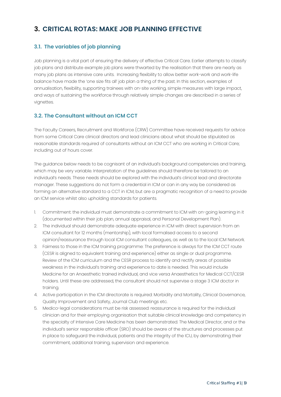# <span id="page-18-0"></span>**3. CRITICAL ROTAS: MAKE JOB PLANNING EFFECTIVE**

#### **3.1. The variables of job planning**

Job planning is a vital part of ensuring the delivery of effective Critical Care. Earlier attempts to classify job plans and distribute example job plans were thwarted by the realisation that there are nearly as many job plans as intensive care units. Increasing flexibility to allow better work-work and work-life balance have made the 'one size fits all' job plan a thing of the past. In this section, examples of annualisation, flexibility, supporting trainees with on-site working, simple measures with large impact, and ways of sustaining the workforce through relatively simple changes are described in a series of vignettes.

#### **3.2. The Consultant without an ICM CCT**

The Faculty Careers, Recruitment and Workforce (CRW) Committee have received requests for advice from some Critical Care clinical directors and lead clinicians about what should be stipulated as reasonable standards required of consultants without an ICM CCT who are working in Critical Care; including out of hours cover.

The quidance below needs to be cognisant of an individual's background competencies and training. which may be very variable. Interpretation of the guidelines should therefore be tailored to an individual's needs. These needs should be explored with the individual's clinical lead and directorate manager. These suggestions do not form a credential in ICM or can in any way be considered as forming an alternative standard to a CCT in ICM, but are a pragmatic recognition of a need to provide an ICM service whilst also upholding standards for patients.

- 1. Commitment: the individual must demonstrate a commitment to ICM with on-going learning in it (documented within their job plan, annual appraisal, and Personal Development Plan).
- 2. The individual should demonstrate adequate experience in ICM with direct supervision from an ICM consultant for 12 months (mentorship), with local formalised access to a second opinion/reassurance through local ICM consultant colleagues, as well as to the local ICM Network.
- 3. Fairness to those in the ICM training programme: The preference is always for the ICM CCT route (CESR is aligned to equivalent training and experience) either as single or dual programme. Review of the ICM curriculum and the CESR process to identify and rectify areas of possible weakness in the individual's training and experience to date is needed. This would include Medicine for an Anaesthetic trained individual, and vice versa Anaesthetics for Medical CCT/CESR holders. Until these are addressed, the consultant should not supervise a stage 3 ICM doctor in training.
- 4. Active participation in the ICM directorate is required: Morbidity and Mortality, Clinical Governance, Quality Improvement and Safety, Journal Club meetings etc.
- 5. Medico-legal considerations must be risk assessed: reassurance is required for the individual clinician and for their employing organisation that suitable clinical knowledge and competency in the specialty of Intensive Care Medicine has been demonstrated. The Medical Director, and or the individual's senior responsible officer (SRO) should be aware of the structures and processes put in place to safeguard the individual, patients and the integrity of the ICU, by demonstrating their commitment, additional training, supervision and experience.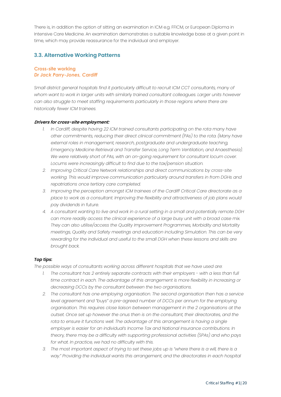<span id="page-19-0"></span>There is, in addition the option of sitting an examination in ICM e.g. FFICM, or European Diploma in Intensive Care Medicine. An examination demonstrates a suitable knowledge base at a given point in time, which may provide reassurance for the individual and employer.

#### **3.3. Alternative Working Patterns**

#### **Cross-site working** *Dr Jack Parry-Jones, Cardiff*

*Small district general hospitals find it particularly difficult to recruit ICM CCT consultants, many of whom want to work in larger units with similarly trained consultant colleagues. Larger units however can also struggle to meet staffing requirements particularly in those regions where there are historically fewer ICM trainees.*

#### **Drivers for cross-site employment:**

- *1. In Cardiff, despite having 22 ICM trained consultants participating on the rota many have other commitments, reducing their direct clinical commitment (PAs) to the rota. (Many have external roles in management, research, postgraduate and undergraduate teaching, Emergency Medicine Retrieval and Transfer Service, Long Term Ventilation, and Anaesthesia). We were relatively short of PAs, with an on-going requirement for consultant locum cover. Locums were increasingly difficult to find due to the tax/pension situation.*
- *2. Improving Critical Care Network relationships and direct communications by cross-site working. This would improve communication particularly around transfers in from DGHs and repatriations once tertiary care completed.*
- *3. Improving the perception amongst ICM trainees of the Cardiff Critical Care directorate as a place to work as a consultant. Improving the flexibility and attractiveness of job plans would pay dividends in future.*
- *4. A consultant wanting to live and work in a rural setting in a small and potentially remote DGH can more readily access the clinical experience of a large busy unit with a broad case mix. They can also utilise/access the Quality Improvement Programmes, Morbidity and Mortality meetings, Quality and Safety meetings and education including Simulation. This can be very rewarding for the individual and useful to the small DGH when these lessons and skills are brought back.*

#### *Top tips:*

*The possible ways of consultants working across different hospitals that we have used are:*

- *1. The consultant has 2 entirely separate contracts with their employers with a less than full time contract in each. The advantage of this arrangement is more flexibility in increasing or decreasing DCCs by the consultant between the two organisations.*
- *2. The consultant has one employing organisation. The second organisation then has a service level agreement and "buys" a pre-agreed number of DCCs per annum for the employing organisation. This requires close liaison between management in the 2 organisations at the outset. Once set up however the onus then is on the consultant, their directorates, and the rota to ensure it functions well. The advantage of this arrangement is having a single employer is easier for an individual's Income Tax and National Insurance contributions. In theory, there may be a difficulty with supporting professional activities (SPAs) and who pays for what. In practice, we had no difficulty with this.*
- *3. The most important aspect of trying to set these jobs up is "where there is a will, there is a way." Providing the individual wants this arrangement, and the directorates in each hospital*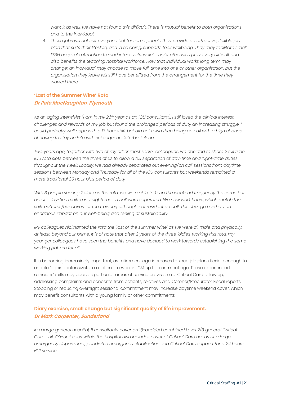*want it as well, we have not found this difficult. There is mutual benefit to both organisations and to the individual.* 

*4. These jobs will not suit everyone but for some people they provide an attractive, flexible job plan that suits their lifestyle, and in so doing, supports their wellbeing. They may facilitate small DGH hospitals attracting trained intensivists, which might otherwise prove very difficult and also benefits the teaching hospital workforce. How that individual works long term may change; an individual may choose to move full-time into one or other organisation, but the organisation they leave will still have benefitted from the arrangement for the time they worked there.*

#### **'Last of the Summer Wine' Rota Dr Pete MacNaughton, Plymouth**

As an aging intensivist (I am in my 26th year as an ICU consultant), I still loved the clinical interest, *challenges and rewards of my job but found the prolonged periods of duty an increasing struggle. I could perfectly well cope with a 13 hour shift but did not relish then being on call with a high chance of having to stay on late with subsequent disturbed sleep.* 

*Two years ago, together with two of my other most senior colleagues, we decided to share 2 full time ICU rota slots between the three of us to allow a full separation of day-time and night-time duties throughout the week. Locally, we had already separated out evening/on call sessions from daytime sessions between Monday and Thursday for all of the ICU consultants but weekends remained a more traditional 30 hour plus period of duty.*

*With 3 people sharing 2 slots on the rota, we were able to keep the weekend frequency the same but ensure day-time shifts and nighttime on call were separated. We now work hours, which match the shift patterns/handovers of the trainees, although not resident on call. This change has had an enormous impact on our well-being and feeling of sustainability.* 

*My colleagues nicknamed the rota the 'last of the summer wine' as we were all male and physically,* at least, beyond our prime. It is of note that after 2 years of the three 'oldies' working this rota, my *younger colleagues have seen the benefits and have decided to work towards establishing the same working pattern for all.*

It is becoming increasingly important, as retirement age increases to keep job plans flexible enough to enable 'ageing' intensivists to continue to work in ICM up to retirement age. These experienced clinicians' skills may address particular areas of service provision e.g. Critical Care follow up, addressing complaints and concerns from patients, relatives and Coroner/Procurator Fiscal reports. Stopping or reducing overnight sessional commitment may increase daytime weekend cover, which may benefit consultants with a young family or other commitments.

#### **Diary exercise, small change but significant quality of life improvement. Dr Mark Carpenter, Sunderland**

*In a large general hospital, 11 consultants cover an 18-bedded combined Level 2/3 general Critical Care unit. Off-unit roles within the hospital also includes cover of Critical Care needs of a large emergency department, paediatric emergency stabilisation and Critical Care support for a 24 hours PCI service.*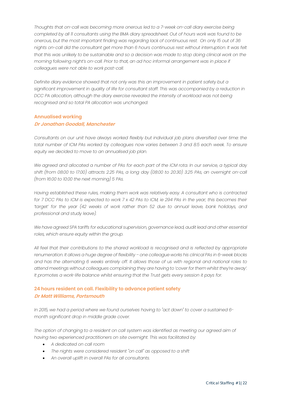*Thoughts that on-call was becoming more onerous led to a 7-week on-call diary exercise being completed by all 11 consultants using the BMA diary spreadsheet. Out of hours work was found to be onerous, but the most important finding was regarding lack of continuous rest. On only 15 out of 36 nights on-call did the consultant get more than 6 hours continuous rest without interruption. It was felt* that this was unlikely to be sustainable and so a decision was made to stop doing clinical work on the *morning following night's on-call. Prior to that, an ad hoc informal arrangement was in place if colleagues were not able to work post-call.* 

*Definite diary evidence showed that not only was this an improvement in patient safety but a significant improvement in quality of life for consultant staff. This was accompanied by a reduction in DCC PA allocation, although the diary exercise revealed the intensity of workload was not being recognised and so total PA allocation was unchanged.*

#### **Annualised working Dr Jonathan Goodall, Manchester**

*Consultants on our unit have always worked flexibly but individual job plans diversified over time: the total number of ICM PAs worked by colleagues now varies between 3 and 8.5 each week. To ensure equity we decided to move to an annualised job plan.*

*We agreed and allocated a number of PAs for each part of the ICM rota. In our service, a typical day shift (from 08:00 to 17:00) attracts 2.25 PAs, a long day (08:00 to 20:30) 3.25 PAs, an overnight on-call (from 16:00 to 10:00 the next morning) 5 PAs.*

*Having established these rules, making them work was relatively easy. A consultant who is contracted* for 7 DCC PAs to ICM is expected to work 7 x 42 PAs to ICM, ie 294 PAs in the year; this becomes their *'target' for the year (42 weeks of work rather than 52 due to annual leave, bank holidays, and professional and study leave).* 

*We have agreed SPA tariffs for educational supervision, governance lead, audit lead and other essential roles, which ensure equity within the group.*

*All feel that their contributions to the shared workload is recognised and is reflected by appropriate renumeration. It allows a huge degree of flexibility – one colleague works his clinical PAs in 6-week blocks and has the alternating 6 weeks entirely off. It allows those of us with regional and national roles to attend meetings without colleagues complaining they are having to 'cover for them whilst they're away'. It promotes a work-life balance whilst ensuring that the Trust gets every session it pays for.*

#### **24 hours resident on call. Flexibility to advance patient safety Dr Matt Williams, Portsmouth**

*In 2015, we had a period where we found ourselves having to "act down" to cover a sustained 6 month significant drop in middle grade cover.* 

*The option of changing to a resident on call system was identified as meeting our agreed aim of having two experienced practitioners on site overnight. This was facilitated by:*

- *A dedicated on call room*
- *The nights were considered resident "on call" as opposed to a shift*
- *An overall uplift in overall PAs for all consultants.*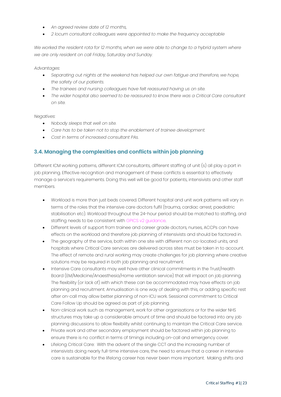- *An agreed review date of 12 months,*
- *2 locum consultant colleagues were appointed to make the frequency acceptable*

*We worked the resident rota for 12 months, when we were able to change to a hybrid system where we are only resident on call Friday, Saturday and Sunday.*

*Advantages:*

- *Separating out nights at the weekend has helped our own fatigue and therefore, we hope, the safety of our patients.*
- *The trainees and nursing colleagues have felt reassured having us on site.*
- *The wider hospital also seemed to be reassured to know there was a Critical Care consultant on site.*

*Negatives:*

- *Nobody sleeps that well on site.*
- *Care has to be taken not to stop the enablement of trainee development.*
- *Cost in terms of increased consultant PAs.*

#### **3.4. Managing the complexities and conflicts within job planning**

Different ICM working patterns, different ICM consultants, different staffing of unit (s) all play a part in job planning. Effective recognition and management of these conflicts is essential to effectively manage a service's requirements. Doing this well will be good for patients, intensivists and other staff members.

- Workload is more than just beds covered. Different hospital and unit work patterns will vary in terms of the roles that the intensive care doctors fulfil (trauma, cardiac arrest, paediatric stabilisation etc). Workload throughout the 24-hour period should be matched to staffing, and staffing needs to be consistent with GPICS v2 guidance.
- Different levels of support from trainee and career grade doctors, nurses, ACCPs can have effects on the workload and therefore job planning of intensivists and should be factored in.
- The geography of the service, both within one site with different non co-located units, and hospitals where Critical Care services are delivered across sites must be taken in to account. The effect of remote and rural working may create challenges for job planning where creative solutions may be required in both job planning and recruitment.
- Intensive Care consultants may well have other clinical commitments in the Trust/Health Board (EM/Medicine/Anaesthesia/Home ventilation service) that will impact on job planning. The flexibility (or lack of) with which these can be accommodated may have effects on job planning and recruitment. Annualisation is one way of dealing with this, or adding specific rest after on-call may allow better planning of non-ICU work. Sessional commitment to Critical Care Follow Up should be agreed as part of job planning.
- Non-clinical work such as management, work for other organisations or for the wider NHS structures may take up a considerable amount of time and should be factored into any job planning discussions to allow flexibility whilst continuing to maintain the Critical Care service.
- Private work and other secondary employment should be factored within job planning to ensure there is no conflict in terms of timings including on-call and emergency cover.
- Lifelong Critical Care: With the advent of the single CCT and the increasing number of intensivists doing nearly full-time intensive care, the need to ensure that a career in intensive care is sustainable for the lifelong career has never been more important. Making shifts and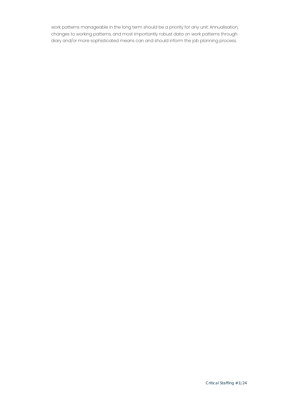<span id="page-23-0"></span>work patterns manageable in the long term should be a priority for any unit. Annualisation, changes to working patterns, and most importantly robust data on work patterns through diary and/or more sophisticated means can and should inform the job planning process.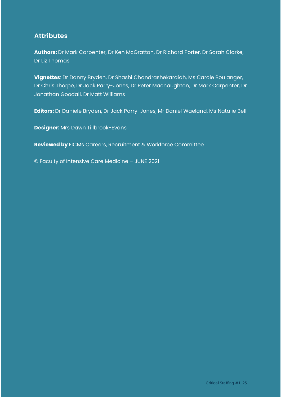# **Attributes**

**Authors:** Dr Mark Carpenter, Dr Ken McGrattan, Dr Richard Porter, Dr Sarah Clarke, Dr Liz Thomas

**Vignettes**: Dr Danny Bryden, Dr Shashi Chandrashekaraiah, Ms Carole Boulanger, Dr Chris Thorpe, Dr Jack Parry-Jones, Dr Peter Macnaughton, Dr Mark Carpenter, Dr Jonathan Goodall, Dr Matt Williams

**Editors:** Dr Daniele Bryden, Dr Jack Parry-Jones, Mr Daniel Waeland, Ms Natalie Bell

**Designer:** Mrs Dawn Tillbrook-Evans

**Reviewed by** FICMs Careers, Recruitment & Workforce Committee

© Faculty of Intensive Care Medicine – JUNE 2021